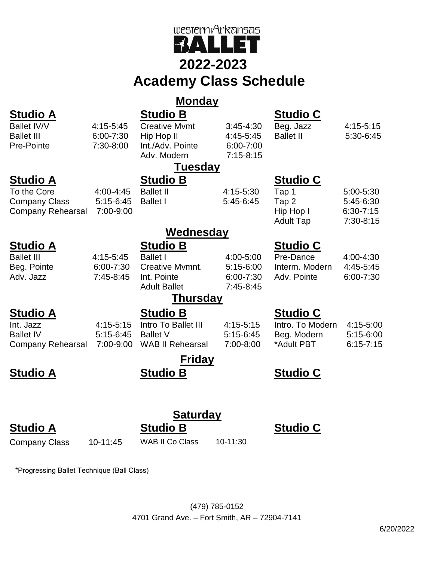

## **2022-2023**

# **Academy Class Schedule**

## **Monday**

### **Studio A Studio B Studio C** Ballet IV/V 4:15-5:45 Ballet III 6:00-7:30 Pre-Pointe 7:30-8:00 Creative Mvmt 3:45-4:30 Hip Hop II 4:45-5:45 Int./Adv. Pointe 6:00-7:00 Adv. Modern 7:15-8:15 Beg. Jazz 4:15-5:15 Ballet II 5:30-6:45 **Tuesday Studio A Studio B Studio C** To the Core 4:00-4:45 Company Class 5:15-6:45 Company Rehearsal 7:00-9:00 Ballet II 4:15-5:30 Ballet I 5:45-6:45 Tap 1 5:00-5:30 Tap 2 5:45-6:30 Hip Hop I 6:30-7:15 Adult Tap 7:30-8:15 **Wednesday Studio A Studio B Studio C** Ballet III 4:15-5:45 Beg. Pointe 6:00-7:30 Adv. Jazz 7:45-8:45 Ballet I 4:00-5:00 Creative Mvmnt. 5:15-6:00 Int. Pointe 6:00-7:30 Adult Ballet 7:45-8:45 Pre-Dance 4:00-4:30 Interm. Modern 4:45-5:45 Adv. Pointe 6:00-7:30 **Thursday Studio A Studio B Studio C** Int. Jazz 4:15-5:15 Ballet IV 5:15-6:45 Company Rehearsal 7:00-9:00 Intro To Ballet III 4:15-5:15 Ballet V 5:15-6:45 WAB II Rehearsal 7:00-8:00 Intro. To Modern 4:15-5:00 Beg. Modern 5:15-6:00 \*Adult PBT 6:15-7:15 **Friday Studio A Studio B Studio C Saturday**

## **Studio A Studio B Studio C**

Company Class 10-11:45 WAB II Co Class 10-11:30

\*Progressing Ballet Technique (Ball Class)

(479) 785-0152 4701 Grand Ave. – Fort Smith, AR – 72904-7141